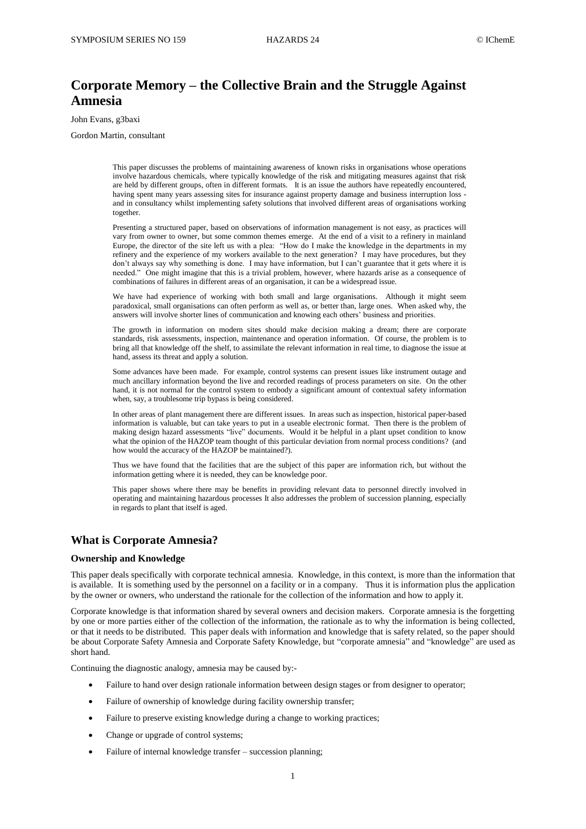# **Corporate Memory – the Collective Brain and the Struggle Against Amnesia**

John Evans, g3baxi

Gordon Martin, consultant

This paper discusses the problems of maintaining awareness of known risks in organisations whose operations involve hazardous chemicals, where typically knowledge of the risk and mitigating measures against that risk are held by different groups, often in different formats. It is an issue the authors have repeatedly encountered, having spent many years assessing sites for insurance against property damage and business interruption loss and in consultancy whilst implementing safety solutions that involved different areas of organisations working together.

Presenting a structured paper, based on observations of information management is not easy, as practices will vary from owner to owner, but some common themes emerge. At the end of a visit to a refinery in mainland Europe, the director of the site left us with a plea: "How do I make the knowledge in the departments in my refinery and the experience of my workers available to the next generation? I may have procedures, but they don't always say why something is done. I may have information, but I can't guarantee that it gets where it is needed." One might imagine that this is a trivial problem, however, where hazards arise as a consequence of combinations of failures in different areas of an organisation, it can be a widespread issue.

We have had experience of working with both small and large organisations. Although it might seem paradoxical, small organisations can often perform as well as, or better than, large ones. When asked why, the answers will involve shorter lines of communication and knowing each others' business and priorities.

The growth in information on modern sites should make decision making a dream; there are corporate standards, risk assessments, inspection, maintenance and operation information. Of course, the problem is to bring all that knowledge off the shelf, to assimilate the relevant information in real time, to diagnose the issue at hand, assess its threat and apply a solution.

Some advances have been made. For example, control systems can present issues like instrument outage and much ancillary information beyond the live and recorded readings of process parameters on site. On the other hand, it is not normal for the control system to embody a significant amount of contextual safety information when, say, a troublesome trip bypass is being considered.

In other areas of plant management there are different issues. In areas such as inspection, historical paper-based information is valuable, but can take years to put in a useable electronic format. Then there is the problem of making design hazard assessments "live" documents. Would it be helpful in a plant upset condition to know what the opinion of the HAZOP team thought of this particular deviation from normal process conditions? (and how would the accuracy of the HAZOP be maintained?).

Thus we have found that the facilities that are the subject of this paper are information rich, but without the information getting where it is needed, they can be knowledge poor.

This paper shows where there may be benefits in providing relevant data to personnel directly involved in operating and maintaining hazardous processes It also addresses the problem of succession planning, especially in regards to plant that itself is aged.

### **What is Corporate Amnesia?**

### **Ownership and Knowledge**

This paper deals specifically with corporate technical amnesia. Knowledge, in this context, is more than the information that is available. It is something used by the personnel on a facility or in a company. Thus it is information plus the application by the owner or owners, who understand the rationale for the collection of the information and how to apply it.

Corporate knowledge is that information shared by several owners and decision makers. Corporate amnesia is the forgetting by one or more parties either of the collection of the information, the rationale as to why the information is being collected, or that it needs to be distributed. This paper deals with information and knowledge that is safety related, so the paper should be about Corporate Safety Amnesia and Corporate Safety Knowledge, but "corporate amnesia" and "knowledge" are used as short hand.

Continuing the diagnostic analogy, amnesia may be caused by:-

- Failure to hand over design rationale information between design stages or from designer to operator;
- Failure of ownership of knowledge during facility ownership transfer;
- Failure to preserve existing knowledge during a change to working practices;
- Change or upgrade of control systems;
- Failure of internal knowledge transfer succession planning;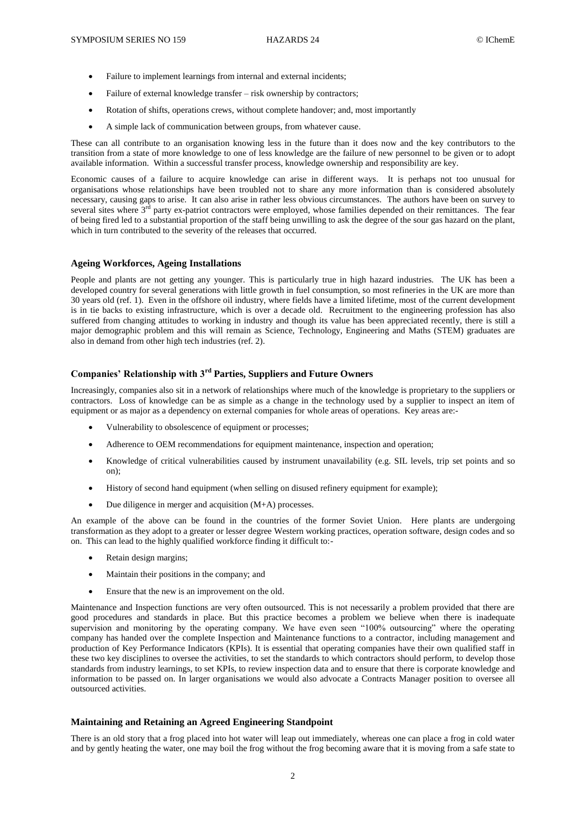- Failure to implement learnings from internal and external incidents;
- Failure of external knowledge transfer risk ownership by contractors;
- Rotation of shifts, operations crews, without complete handover; and, most importantly
- A simple lack of communication between groups, from whatever cause.

These can all contribute to an organisation knowing less in the future than it does now and the key contributors to the transition from a state of more knowledge to one of less knowledge are the failure of new personnel to be given or to adopt available information. Within a successful transfer process, knowledge ownership and responsibility are key.

Economic causes of a failure to acquire knowledge can arise in different ways. It is perhaps not too unusual for organisations whose relationships have been troubled not to share any more information than is considered absolutely necessary, causing gaps to arise. It can also arise in rather less obvious circumstances. The authors have been on survey to several sites where  $3<sup>rd</sup>$  party ex-patriot contractors were employed, whose families depended on their remittances. The fear of being fired led to a substantial proportion of the staff being unwilling to ask the degree of the sour gas hazard on the plant, which in turn contributed to the severity of the releases that occurred.

### **Ageing Workforces, Ageing Installations**

People and plants are not getting any younger. This is particularly true in high hazard industries. The UK has been a developed country for several generations with little growth in fuel consumption, so most refineries in the UK are more than 30 years old (ref. [1\)](#page-6-0). Even in the offshore oil industry, where fields have a limited lifetime, most of the current development is in tie backs to existing infrastructure, which is over a decade old. Recruitment to the engineering profession has also suffered from changing attitudes to working in industry and though its value has been appreciated recently, there is still a major demographic problem and this will remain as Science, Technology, Engineering and Maths (STEM) graduates are also in demand from other high tech industries (ref[. 2\)](#page-6-1).

### **Companies' Relationship with 3rd Parties, Suppliers and Future Owners**

Increasingly, companies also sit in a network of relationships where much of the knowledge is proprietary to the suppliers or contractors. Loss of knowledge can be as simple as a change in the technology used by a supplier to inspect an item of equipment or as major as a dependency on external companies for whole areas of operations. Key areas are:-

- Vulnerability to obsolescence of equipment or processes;
- Adherence to OEM recommendations for equipment maintenance, inspection and operation;
- Knowledge of critical vulnerabilities caused by instrument unavailability (e.g. SIL levels, trip set points and so on);
- History of second hand equipment (when selling on disused refinery equipment for example);
- Due diligence in merger and acquisition (M+A) processes.

An example of the above can be found in the countries of the former Soviet Union. Here plants are undergoing transformation as they adopt to a greater or lesser degree Western working practices, operation software, design codes and so on. This can lead to the highly qualified workforce finding it difficult to:-

- Retain design margins;
- Maintain their positions in the company; and
- Ensure that the new is an improvement on the old.

Maintenance and Inspection functions are very often outsourced. This is not necessarily a problem provided that there are good procedures and standards in place. But this practice becomes a problem we believe when there is inadequate supervision and monitoring by the operating company. We have even seen "100% outsourcing" where the operating company has handed over the complete Inspection and Maintenance functions to a contractor, including management and production of Key Performance Indicators (KPIs). It is essential that operating companies have their own qualified staff in these two key disciplines to oversee the activities, to set the standards to which contractors should perform, to develop those standards from industry learnings, to set KPIs, to review inspection data and to ensure that there is corporate knowledge and information to be passed on. In larger organisations we would also advocate a Contracts Manager position to oversee all outsourced activities.

### **Maintaining and Retaining an Agreed Engineering Standpoint**

There is an old story that a frog placed into hot water will leap out immediately, whereas one can place a frog in cold water and by gently heating the water, one may boil the frog without the frog becoming aware that it is moving from a safe state to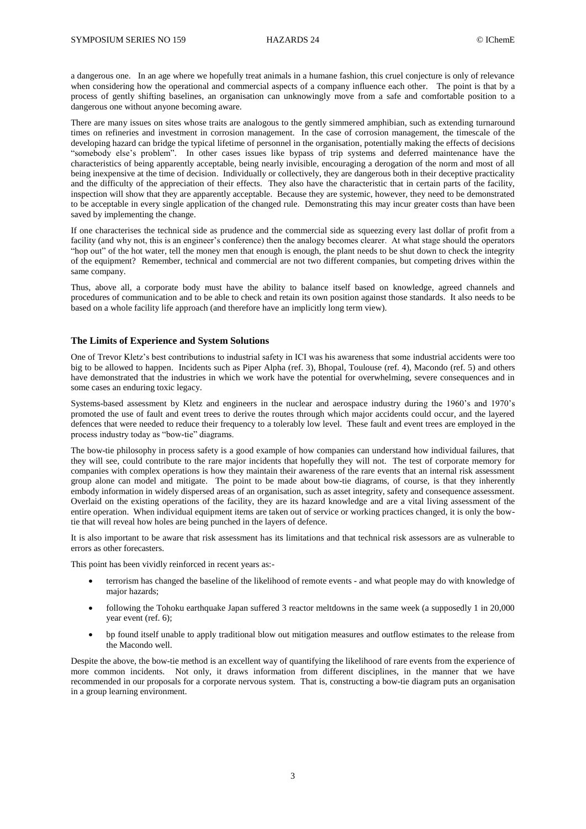a dangerous one. In an age where we hopefully treat animals in a humane fashion, this cruel conjecture is only of relevance when considering how the operational and commercial aspects of a company influence each other. The point is that by a process of gently shifting baselines, an organisation can unknowingly move from a safe and comfortable position to a dangerous one without anyone becoming aware.

There are many issues on sites whose traits are analogous to the gently simmered amphibian, such as extending turnaround times on refineries and investment in corrosion management. In the case of corrosion management, the timescale of the developing hazard can bridge the typical lifetime of personnel in the organisation, potentially making the effects of decisions "somebody else's problem". In other cases issues like bypass of trip systems and deferred maintenance have the characteristics of being apparently acceptable, being nearly invisible, encouraging a derogation of the norm and most of all being inexpensive at the time of decision. Individually or collectively, they are dangerous both in their deceptive practicality and the difficulty of the appreciation of their effects. They also have the characteristic that in certain parts of the facility, inspection will show that they are apparently acceptable. Because they are systemic, however, they need to be demonstrated to be acceptable in every single application of the changed rule. Demonstrating this may incur greater costs than have been saved by implementing the change.

If one characterises the technical side as prudence and the commercial side as squeezing every last dollar of profit from a facility (and why not, this is an engineer's conference) then the analogy becomes clearer. At what stage should the operators "hop out" of the hot water, tell the money men that enough is enough, the plant needs to be shut down to check the integrity of the equipment? Remember, technical and commercial are not two different companies, but competing drives within the same company.

Thus, above all, a corporate body must have the ability to balance itself based on knowledge, agreed channels and procedures of communication and to be able to check and retain its own position against those standards. It also needs to be based on a whole facility life approach (and therefore have an implicitly long term view).

### **The Limits of Experience and System Solutions**

One of Trevor Kletz's best contributions to industrial safety in ICI was his awareness that some industrial accidents were too big to be allowed to happen. Incidents such as Piper Alpha (ref. 3), Bhopal, Toulouse (ref. [4\)](#page-6-2), Macondo (ref. [5\)](#page-6-3) and others have demonstrated that the industries in which we work have the potential for overwhelming, severe consequences and in some cases an enduring toxic legacy.

Systems-based assessment by Kletz and engineers in the nuclear and aerospace industry during the 1960's and 1970's promoted the use of fault and event trees to derive the routes through which major accidents could occur, and the layered defences that were needed to reduce their frequency to a tolerably low level. These fault and event trees are employed in the process industry today as "bow-tie" diagrams.

The bow-tie philosophy in process safety is a good example of how companies can understand how individual failures, that they will see, could contribute to the rare major incidents that hopefully they will not. The test of corporate memory for companies with complex operations is how they maintain their awareness of the rare events that an internal risk assessment group alone can model and mitigate. The point to be made about bow-tie diagrams, of course, is that they inherently embody information in widely dispersed areas of an organisation, such as asset integrity, safety and consequence assessment. Overlaid on the existing operations of the facility, they are its hazard knowledge and are a vital living assessment of the entire operation. When individual equipment items are taken out of service or working practices changed, it is only the bowtie that will reveal how holes are being punched in the layers of defence.

It is also important to be aware that risk assessment has its limitations and that technical risk assessors are as vulnerable to errors as other forecasters.

This point has been vividly reinforced in recent years as:-

- terrorism has changed the baseline of the likelihood of remote events and what people may do with knowledge of major hazards;
- following the Tohoku earthquake Japan suffered 3 reactor meltdowns in the same week (a supposedly 1 in 20,000 year event (ref. [6\)](#page-6-4);
- bp found itself unable to apply traditional blow out mitigation measures and outflow estimates to the release from the Macondo well.

Despite the above, the bow-tie method is an excellent way of quantifying the likelihood of rare events from the experience of more common incidents. Not only, it draws information from different disciplines, in the manner that we have recommended in our proposals for a corporate nervous system. That is, constructing a bow-tie diagram puts an organisation in a group learning environment.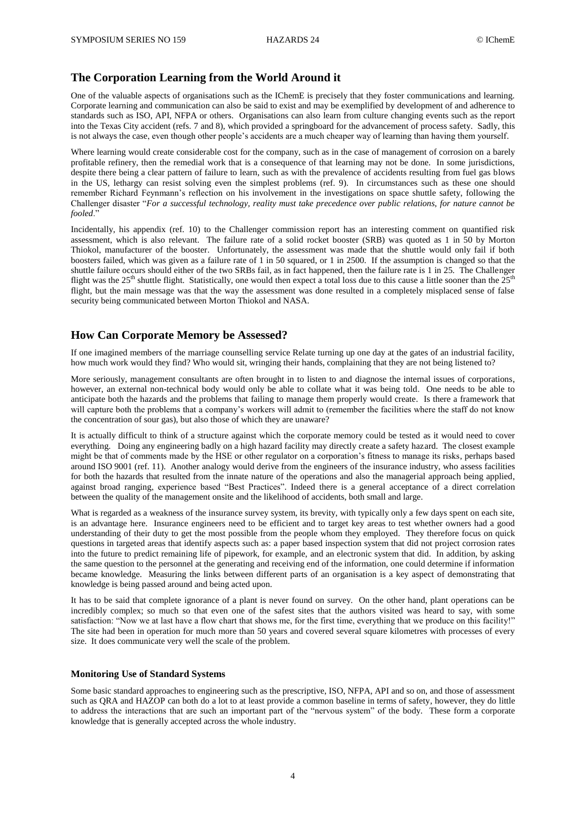### **The Corporation Learning from the World Around it**

One of the valuable aspects of organisations such as the IChemE is precisely that they foster communications and learning. Corporate learning and communication can also be said to exist and may be exemplified by development of and adherence to standards such as ISO, API, NFPA or others. Organisations can also learn from culture changing events such as the report into the Texas City accident (refs. [7](#page-6-5) and [8\)](#page-6-6), which provided a springboard for the advancement of process safety. Sadly, this is not always the case, even though other people's accidents are a much cheaper way of learning than having them yourself.

Where learning would create considerable cost for the company, such as in the case of management of corrosion on a barely profitable refinery, then the remedial work that is a consequence of that learning may not be done. In some jurisdictions, despite there being a clear pattern of failure to learn, such as with the prevalence of accidents resulting from fuel gas blows in the US, lethargy can resist solving even the simplest problems (ref. [9\)](#page-6-7). In circumstances such as these one should remember Richard Feynmann's reflection on his involvement in the investigations on space shuttle safety, following the Challenger disaster "*For a successful technology, reality must take precedence over public relations, for nature cannot be fooled*."

Incidentally, his appendix (ref. [10\)](#page-6-8) to the Challenger commission report has an interesting comment on quantified risk assessment, which is also relevant. The failure rate of a solid rocket booster (SRB) was quoted as 1 in 50 by Morton Thiokol, manufacturer of the booster. Unfortunately, the assessment was made that the shuttle would only fail if both boosters failed, which was given as a failure rate of 1 in 50 squared, or 1 in 2500. If the assumption is changed so that the shuttle failure occurs should either of the two SRBs fail, as in fact happened, then the failure rate is 1 in 25. The Challenger flight was the 25<sup>th</sup> shuttle flight. Statistically, one would then expect a total loss due to this cause a little sooner than the  $25<sup>th</sup>$ flight, but the main message was that the way the assessment was done resulted in a completely misplaced sense of false security being communicated between Morton Thiokol and NASA.

### **How Can Corporate Memory be Assessed?**

If one imagined members of the marriage counselling service Relate turning up one day at the gates of an industrial facility, how much work would they find? Who would sit, wringing their hands, complaining that they are not being listened to?

More seriously, management consultants are often brought in to listen to and diagnose the internal issues of corporations, however, an external non-technical body would only be able to collate what it was being told. One needs to be able to anticipate both the hazards and the problems that failing to manage them properly would create. Is there a framework that will capture both the problems that a company's workers will admit to (remember the facilities where the staff do not know the concentration of sour gas), but also those of which they are unaware?

It is actually difficult to think of a structure against which the corporate memory could be tested as it would need to cover everything. Doing any engineering badly on a high hazard facility may directly create a safety hazard. The closest example might be that of comments made by the HSE or other regulator on a corporation's fitness to manage its risks, perhaps based around ISO 9001 (ref. [11\)](#page-6-9). Another analogy would derive from the engineers of the insurance industry, who assess facilities for both the hazards that resulted from the innate nature of the operations and also the managerial approach being applied, against broad ranging, experience based "Best Practices". Indeed there is a general acceptance of a direct correlation between the quality of the management onsite and the likelihood of accidents, both small and large.

What is regarded as a weakness of the insurance survey system, its brevity, with typically only a few days spent on each site, is an advantage here. Insurance engineers need to be efficient and to target key areas to test whether owners had a good understanding of their duty to get the most possible from the people whom they employed. They therefore focus on quick questions in targeted areas that identify aspects such as: a paper based inspection system that did not project corrosion rates into the future to predict remaining life of pipework, for example, and an electronic system that did. In addition, by asking the same question to the personnel at the generating and receiving end of the information, one could determine if information became knowledge. Measuring the links between different parts of an organisation is a key aspect of demonstrating that knowledge is being passed around and being acted upon.

It has to be said that complete ignorance of a plant is never found on survey. On the other hand, plant operations can be incredibly complex; so much so that even one of the safest sites that the authors visited was heard to say, with some satisfaction: "Now we at last have a flow chart that shows me, for the first time, everything that we produce on this facility!" The site had been in operation for much more than 50 years and covered several square kilometres with processes of every size. It does communicate very well the scale of the problem.

### **Monitoring Use of Standard Systems**

Some basic standard approaches to engineering such as the prescriptive, ISO, NFPA, API and so on, and those of assessment such as QRA and HAZOP can both do a lot to at least provide a common baseline in terms of safety, however, they do little to address the interactions that are such an important part of the "nervous system" of the body. These form a corporate knowledge that is generally accepted across the whole industry.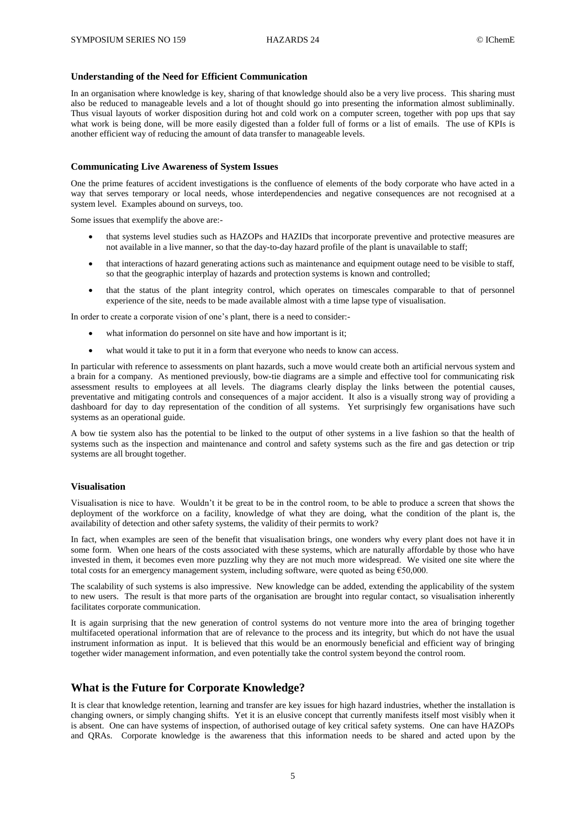### **Understanding of the Need for Efficient Communication**

In an organisation where knowledge is key, sharing of that knowledge should also be a very live process. This sharing must also be reduced to manageable levels and a lot of thought should go into presenting the information almost subliminally. Thus visual layouts of worker disposition during hot and cold work on a computer screen, together with pop ups that say what work is being done, will be more easily digested than a folder full of forms or a list of emails. The use of KPIs is another efficient way of reducing the amount of data transfer to manageable levels.

### **Communicating Live Awareness of System Issues**

One the prime features of accident investigations is the confluence of elements of the body corporate who have acted in a way that serves temporary or local needs, whose interdependencies and negative consequences are not recognised at a system level. Examples abound on surveys, too.

Some issues that exemplify the above are:-

- that systems level studies such as HAZOPs and HAZIDs that incorporate preventive and protective measures are not available in a live manner, so that the day-to-day hazard profile of the plant is unavailable to staff;
- that interactions of hazard generating actions such as maintenance and equipment outage need to be visible to staff, so that the geographic interplay of hazards and protection systems is known and controlled;
- that the status of the plant integrity control, which operates on timescales comparable to that of personnel experience of the site, needs to be made available almost with a time lapse type of visualisation.

In order to create a corporate vision of one's plant, there is a need to consider:-

- what information do personnel on site have and how important is it;
- what would it take to put it in a form that everyone who needs to know can access.

In particular with reference to assessments on plant hazards, such a move would create both an artificial nervous system and a brain for a company. As mentioned previously, bow-tie diagrams are a simple and effective tool for communicating risk assessment results to employees at all levels. The diagrams clearly display the links between the potential causes, preventative and mitigating controls and consequences of a major accident. It also is a visually strong way of providing a dashboard for day to day representation of the condition of all systems. Yet surprisingly few organisations have such systems as an operational guide.

A bow tie system also has the potential to be linked to the output of other systems in a live fashion so that the health of systems such as the inspection and maintenance and control and safety systems such as the fire and gas detection or trip systems are all brought together.

#### **Visualisation**

Visualisation is nice to have. Wouldn't it be great to be in the control room, to be able to produce a screen that shows the deployment of the workforce on a facility, knowledge of what they are doing, what the condition of the plant is, the availability of detection and other safety systems, the validity of their permits to work?

In fact, when examples are seen of the benefit that visualisation brings, one wonders why every plant does not have it in some form. When one hears of the costs associated with these systems, which are naturally affordable by those who have invested in them, it becomes even more puzzling why they are not much more widespread. We visited one site where the total costs for an emergency management system, including software, were quoted as being  $\epsilon$ 50,000.

The scalability of such systems is also impressive. New knowledge can be added, extending the applicability of the system to new users. The result is that more parts of the organisation are brought into regular contact, so visualisation inherently facilitates corporate communication.

It is again surprising that the new generation of control systems do not venture more into the area of bringing together multifaceted operational information that are of relevance to the process and its integrity, but which do not have the usual instrument information as input. It is believed that this would be an enormously beneficial and efficient way of bringing together wider management information, and even potentially take the control system beyond the control room.

### **What is the Future for Corporate Knowledge?**

It is clear that knowledge retention, learning and transfer are key issues for high hazard industries, whether the installation is changing owners, or simply changing shifts. Yet it is an elusive concept that currently manifests itself most visibly when it is absent. One can have systems of inspection, of authorised outage of key critical safety systems. One can have HAZOPs and QRAs. Corporate knowledge is the awareness that this information needs to be shared and acted upon by the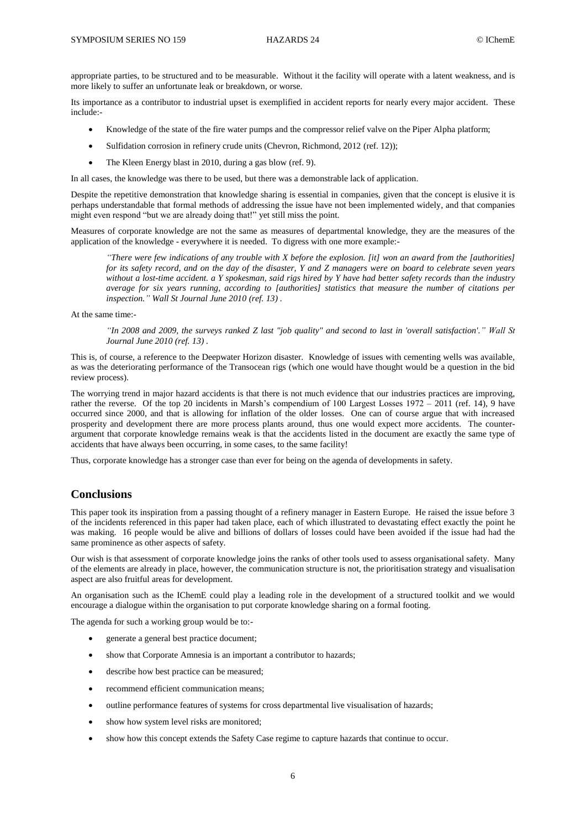appropriate parties, to be structured and to be measurable. Without it the facility will operate with a latent weakness, and is more likely to suffer an unfortunate leak or breakdown, or worse.

Its importance as a contributor to industrial upset is exemplified in accident reports for nearly every major accident. These include:-

- Knowledge of the state of the fire water pumps and the compressor relief valve on the Piper Alpha platform;
- Sulfidation corrosion in refinery crude units (Chevron, Richmond, 2012 (ref[. 12\)](#page-6-10));
- The Kleen Energy blast in 2010, during a gas blow (ref. [9\)](#page-6-7).

In all cases, the knowledge was there to be used, but there was a demonstrable lack of application.

Despite the repetitive demonstration that knowledge sharing is essential in companies, given that the concept is elusive it is perhaps understandable that formal methods of addressing the issue have not been implemented widely, and that companies might even respond "but we are already doing that!" yet still miss the point.

Measures of corporate knowledge are not the same as measures of departmental knowledge, they are the measures of the application of the knowledge - everywhere it is needed. To digress with one more example:-

*"There were few indications of any trouble with X before the explosion. [it] won an award from the [authorities] for its safety record, and on the day of the disaster, Y and Z managers were on board to celebrate seven years without a lost-time accident. a Y spokesman, said rigs hired by Y have had better safety records than the industry average for six years running, according to [authorities] statistics that measure the number of citations per inspection." Wall St Journal June 2010 (ref[. 13\)](#page-6-11) .*

At the same time:-

*"In 2008 and 2009, the surveys ranked Z last "job quality" and second to last in 'overall satisfaction'." Wall St Journal June 2010 (ref. [13\)](#page-6-11) .*

This is, of course, a reference to the Deepwater Horizon disaster. Knowledge of issues with cementing wells was available, as was the deteriorating performance of the Transocean rigs (which one would have thought would be a question in the bid review process).

The worrying trend in major hazard accidents is that there is not much evidence that our industries practices are improving, rather the reverse. Of the top 20 incidents in Marsh's compendium of 100 Largest Losses 1972 – 2011 (ref. [14\)](#page-6-12), 9 have occurred since 2000, and that is allowing for inflation of the older losses. One can of course argue that with increased prosperity and development there are more process plants around, thus one would expect more accidents. The counterargument that corporate knowledge remains weak is that the accidents listed in the document are exactly the same type of accidents that have always been occurring, in some cases, to the same facility!

Thus, corporate knowledge has a stronger case than ever for being on the agenda of developments in safety.

# **Conclusions**

This paper took its inspiration from a passing thought of a refinery manager in Eastern Europe. He raised the issue before 3 of the incidents referenced in this paper had taken place, each of which illustrated to devastating effect exactly the point he was making. 16 people would be alive and billions of dollars of losses could have been avoided if the issue had had the same prominence as other aspects of safety.

Our wish is that assessment of corporate knowledge joins the ranks of other tools used to assess organisational safety. Many of the elements are already in place, however, the communication structure is not, the prioritisation strategy and visualisation aspect are also fruitful areas for development.

An organisation such as the IChemE could play a leading role in the development of a structured toolkit and we would encourage a dialogue within the organisation to put corporate knowledge sharing on a formal footing.

The agenda for such a working group would be to:-

- generate a general best practice document;
- show that Corporate Amnesia is an important a contributor to hazards;
- describe how best practice can be measured;
- recommend efficient communication means;
- outline performance features of systems for cross departmental live visualisation of hazards;
- show how system level risks are monitored;
- show how this concept extends the Safety Case regime to capture hazards that continue to occur.